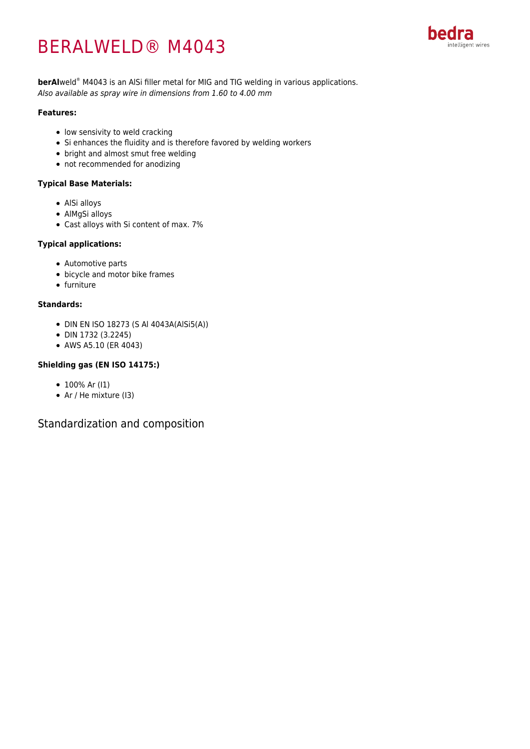# BERALWELD® M4043



**berAl**weld® M4043 is an AlSi filler metal for MIG and TIG welding in various applications. Also available as spray wire in dimensions from 1.60 to 4.00 mm

#### **Features:**

- low sensivity to weld cracking
- Si enhances the fluidity and is therefore favored by welding workers
- bright and almost smut free welding
- not recommended for anodizing

#### **Typical Base Materials:**

- AlSi alloys
- AlMgSi alloys
- Cast alloys with Si content of max. 7%

#### **Typical applications:**

- Automotive parts
- bicycle and motor bike frames
- furniture

#### **Standards:**

- DIN EN ISO 18273 (S Al 4043A(AlSi5(A))
- DIN 1732 (3.2245)
- AWS A5.10 (ER 4043)

#### **Shielding gas (EN ISO 14175:)**

- 100% Ar (I1)
- Ar / He mixture (13)

Standardization and composition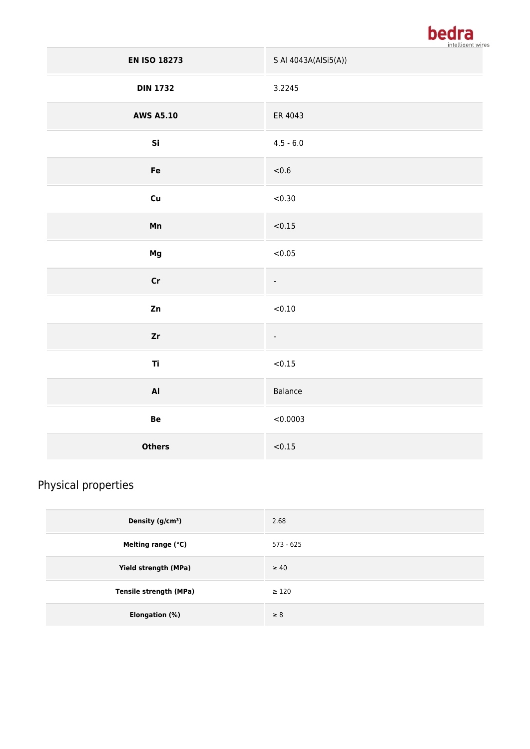

| <b>EN ISO 18273</b> | S Al 4043A(AlSi5(A))     |  |
|---------------------|--------------------------|--|
| <b>DIN 1732</b>     | 3.2245                   |  |
| <b>AWS A5.10</b>    | ER 4043                  |  |
| Si                  | $4.5 - 6.0$              |  |
| Fe                  | < 0.6                    |  |
| cu                  | < 0.30                   |  |
| Mn                  | < 0.15                   |  |
| Mg                  | < 0.05                   |  |
| $\mathsf{Cr}$       | $\overline{\phantom{a}}$ |  |
| Zn                  | < 0.10                   |  |
| z <sub>r</sub>      | $\overline{\phantom{0}}$ |  |
| Ti                  | < 0.15                   |  |
| $\mathbf{A}$        | Balance                  |  |
| Be                  | < 0.0003                 |  |
| <b>Others</b>       | < 0.15                   |  |

## Physical properties

| Density $(g/cm3)$             | 2.68        |
|-------------------------------|-------------|
| Melting range (°C)            | $573 - 625$ |
| Yield strength (MPa)          | $\geq 40$   |
| <b>Tensile strength (MPa)</b> | $\geq 120$  |
| Elongation (%)                | $\geq 8$    |